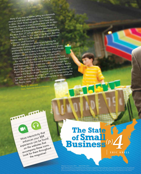Many of you may remember setting up a lemonade stand as a kid and selling each cup for a nickel or dime. I think those cups go for more these days. However, the point is every business starts with an ideaeven if that idea is as simplistic as a lemonade stand. The ideas of entrepreneurs have developed into

the more than 27 million small businesses operating in the U.S. today. In this issue of the Baylor Business Review, we focus on the backbone of the American

economy: small business. You will read how our students are learning the

importance of entrepreneurial skills in solving social problems by working with small business owners, young professionals and students in Rwanda. Two of our faculty members are also sharing business lessons abroad in Honduras and Africa simply by using a Coke bottle. You will be introduced to some of our alumni who have

implemented skills first learned at Hankamer to run successful small businesses. Other alumni are connecting through the Baylor Angel Network, a community of angel investors, Baylor alumni and friends that offers funding opportunities to startups. Just as the Baylor Angel Network provides opportunities to connect, we hope to reconnect with you at Homecoming this

fall. Join us on campus for this exciting time as we celebrate our Baylor roots.

Terry S. Maness Dean, Hankamer School of Business

 $500$ 

coop

### More interactivity that enhances your BBR experience can be found on the websites that accompany these icons. Look for them throughout the magazine!

## **The State of Small Business***( p )* **P**<br> **ERIC KRELL**

siness Review is published by Baylor University's Hankamer School of Business. Requests for information may be directed to the ©Baylor University 2011 ISSN 0739-1072

Office of Communications & Marketing, One Bear Place #98009, Waco, TX 76798. The views and opinions expressed in this publication do not necessarily represent official statements of policy by Baylor University, but are the personal views and opinions of the authors.